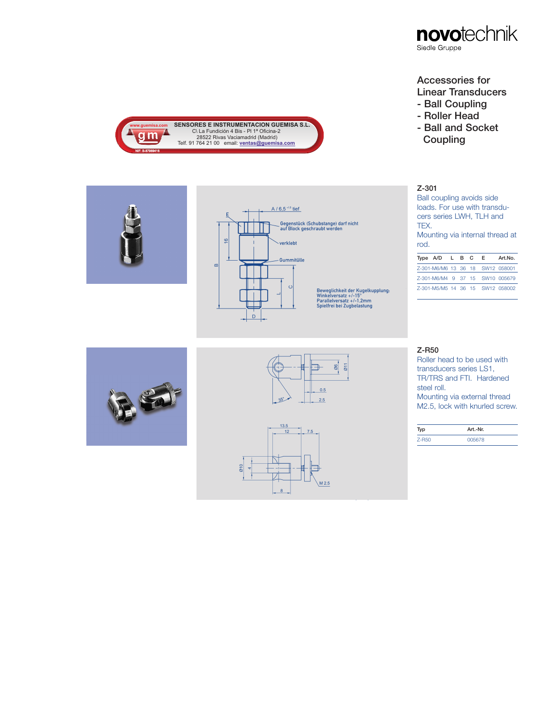

# Accessories for

- Linear Transducers
- Ball Coupling
- Roller Head
- Ball and Socket **Coupling**

### Z-301

Ball coupling avoids side loads. For use with transducers series LWH, TLH and TEX. Mounting via internal thread at

rod.

| Type $A/D$ $L$ $B$ $C$ |  | E.                               | Art.No.                          |
|------------------------|--|----------------------------------|----------------------------------|
|                        |  | Z-301-M6/M6 13 36 18 SW12 058001 |                                  |
|                        |  | 7-301-M6/M4 9 37 15 SW10 005679  |                                  |
|                        |  |                                  | 7-301-M5/M5 14 36 15 SW12 058002 |



**www.guemisa.com** 

nien com

NIF: B-87969416



 $A / 6,5 + 1.5$  tief

verklebt

Gummitülle

 $\circ$ 

Gegenstück (Schubstange) darf nicht<br>auf Block geschraubt werden

Beweglichkeit der Kugelkupplung:<br>Winkelversatz +/-15°<br>Parallelversatz +/-1.2mm<br>Spielfrei bei Zugbelastung

C\ La Fundición 4 Bis - PI 1ª Oficina-2<br>28522 Rivas Vaciamadrid (Madrid)<br>Telf. 91 764 21 00 email: **<u>ventas@guemisa.com</u>** 

E

 $\frac{6}{10}$ 

D

 $\alpha$ 



#### Z-R50

Roller head to be used with transducers series LS1, TR/TRS and FTI. Hardened steel roll. Mounting via external thread M2.5, lock with knurled screw.

|          | Art.-Nr. |
|----------|----------|
| $Z$ -R50 | 005678   |